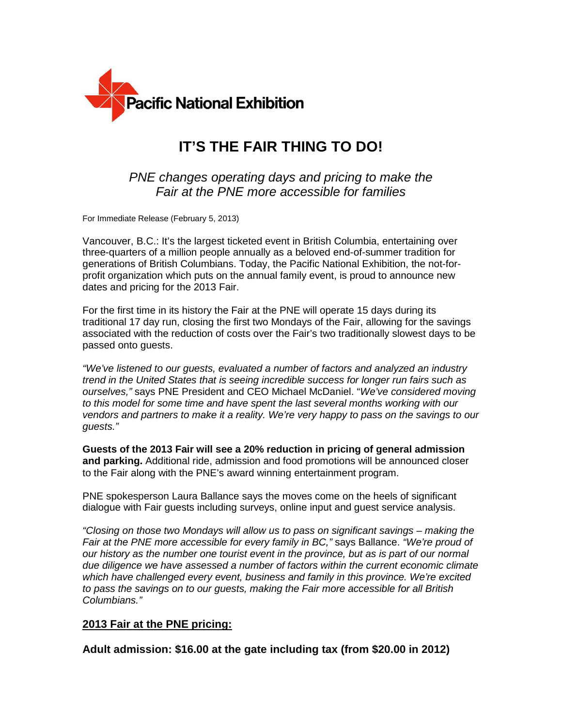

# **IT'S THE FAIR THING TO DO!**

## PNE changes operating days and pricing to make the Fair at the PNE more accessible for families

For Immediate Release (February 5, 2013)

Vancouver, B.C.: It's the largest ticketed event in British Columbia, entertaining over three-quarters of a million people annually as a beloved end-of-summer tradition for generations of British Columbians. Today, the Pacific National Exhibition, the not-forprofit organization which puts on the annual family event, is proud to announce new dates and pricing for the 2013 Fair.

For the first time in its history the Fair at the PNE will operate 15 days during its traditional 17 day run, closing the first two Mondays of the Fair, allowing for the savings associated with the reduction of costs over the Fair's two traditionally slowest days to be passed onto guests.

"We've listened to our guests, evaluated a number of factors and analyzed an industry trend in the United States that is seeing incredible success for longer run fairs such as ourselves," says PNE President and CEO Michael McDaniel. "We've considered moving to this model for some time and have spent the last several months working with our vendors and partners to make it a reality. We're very happy to pass on the savings to our guests."

**Guests of the 2013 Fair will see a 20% reduction in pricing of general admission and parking.** Additional ride, admission and food promotions will be announced closer to the Fair along with the PNE's award winning entertainment program.

PNE spokesperson Laura Ballance says the moves come on the heels of significant dialogue with Fair guests including surveys, online input and guest service analysis.

"Closing on those two Mondays will allow us to pass on significant savings – making the Fair at the PNE more accessible for every family in BC," says Ballance. "We're proud of our history as the number one tourist event in the province, but as is part of our normal due diligence we have assessed a number of factors within the current economic climate which have challenged every event, business and family in this province. We're excited to pass the savings on to our guests, making the Fair more accessible for all British Columbians."

### **2013 Fair at the PNE pricing:**

**Adult admission: \$16.00 at the gate including tax (from \$20.00 in 2012)**